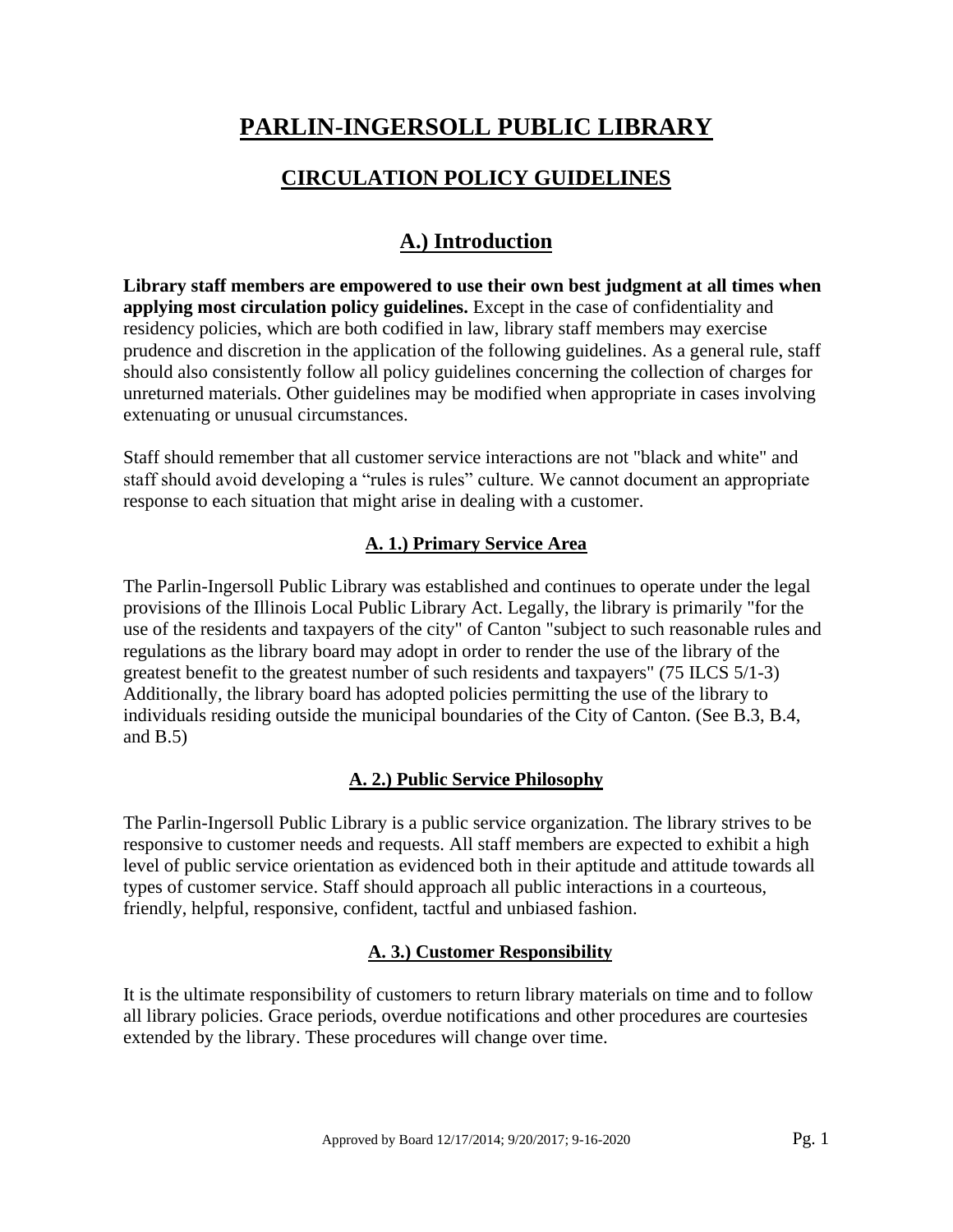# **PARLIN-INGERSOLL PUBLIC LIBRARY**

# **CIRCULATION POLICY GUIDELINES**

# **A.) Introduction**

**Library staff members are empowered to use their own best judgment at all times when applying most circulation policy guidelines.** Except in the case of confidentiality and residency policies, which are both codified in law, library staff members may exercise prudence and discretion in the application of the following guidelines. As a general rule, staff should also consistently follow all policy guidelines concerning the collection of charges for unreturned materials. Other guidelines may be modified when appropriate in cases involving extenuating or unusual circumstances.

Staff should remember that all customer service interactions are not "black and white" and staff should avoid developing a "rules is rules" culture. We cannot document an appropriate response to each situation that might arise in dealing with a customer.

## **A. 1.) Primary Service Area**

The Parlin-Ingersoll Public Library was established and continues to operate under the legal provisions of the Illinois Local Public Library Act. Legally, the library is primarily "for the use of the residents and taxpayers of the city" of Canton "subject to such reasonable rules and regulations as the library board may adopt in order to render the use of the library of the greatest benefit to the greatest number of such residents and taxpayers" (75 ILCS 5/1-3) Additionally, the library board has adopted policies permitting the use of the library to individuals residing outside the municipal boundaries of the City of Canton. (See B.3, B.4, and  $B.5$ )

## **A. 2.) Public Service Philosophy**

The Parlin-Ingersoll Public Library is a public service organization. The library strives to be responsive to customer needs and requests. All staff members are expected to exhibit a high level of public service orientation as evidenced both in their aptitude and attitude towards all types of customer service. Staff should approach all public interactions in a courteous, friendly, helpful, responsive, confident, tactful and unbiased fashion.

## **A. 3.) Customer Responsibility**

It is the ultimate responsibility of customers to return library materials on time and to follow all library policies. Grace periods, overdue notifications and other procedures are courtesies extended by the library. These procedures will change over time.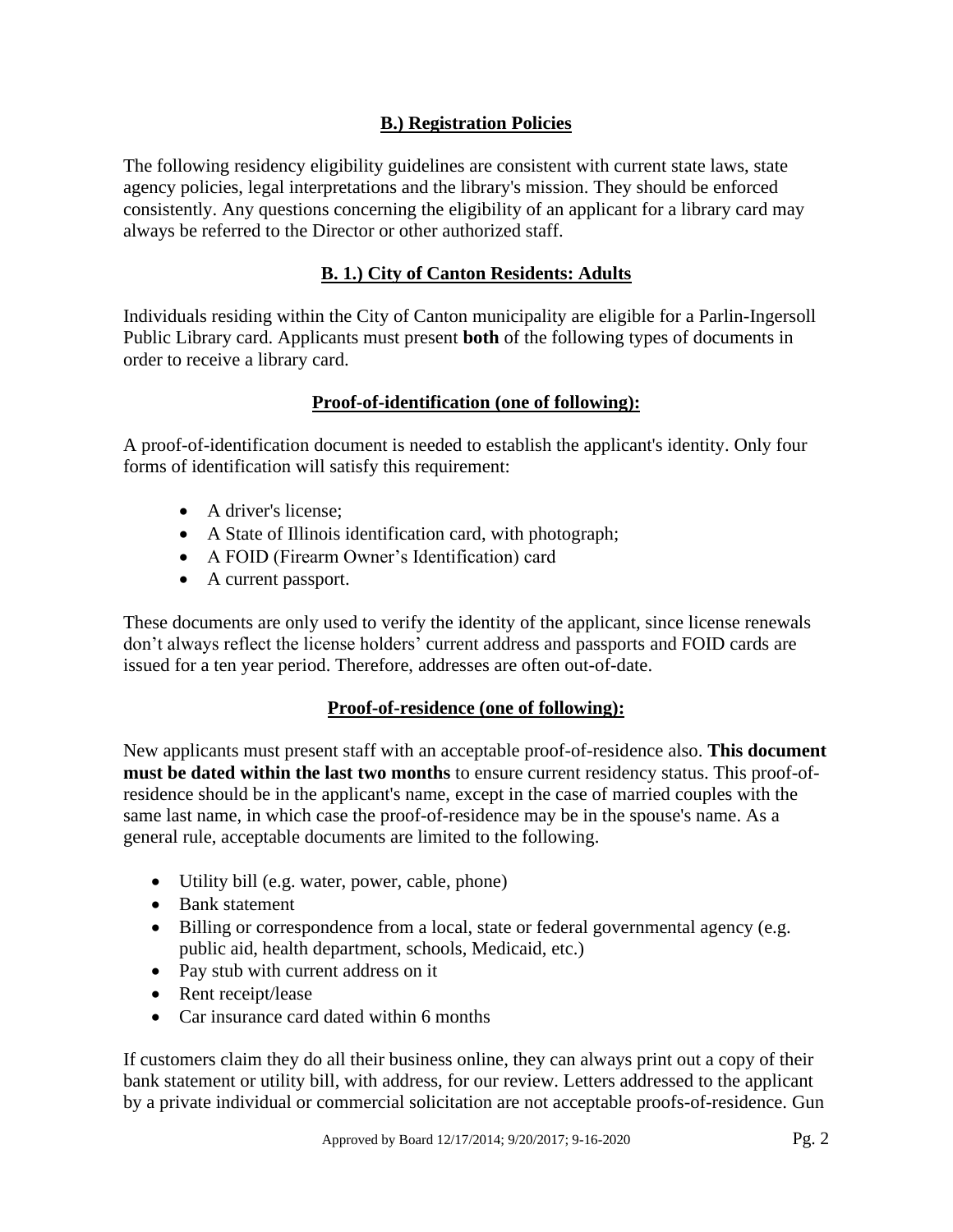## **B.) Registration Policies**

The following residency eligibility guidelines are consistent with current state laws, state agency policies, legal interpretations and the library's mission. They should be enforced consistently. Any questions concerning the eligibility of an applicant for a library card may always be referred to the Director or other authorized staff.

## **B. 1.) City of Canton Residents: Adults**

Individuals residing within the City of Canton municipality are eligible for a Parlin-Ingersoll Public Library card. Applicants must present **both** of the following types of documents in order to receive a library card.

## **Proof-of-identification (one of following):**

A proof-of-identification document is needed to establish the applicant's identity. Only four forms of identification will satisfy this requirement:

- A driver's license:
- A State of Illinois identification card, with photograph;
- A FOID (Firearm Owner's Identification) card
- A current passport.

These documents are only used to verify the identity of the applicant, since license renewals don't always reflect the license holders' current address and passports and FOID cards are issued for a ten year period. Therefore, addresses are often out-of-date.

## **Proof-of-residence (one of following):**

New applicants must present staff with an acceptable proof-of-residence also. **This document must be dated within the last two months** to ensure current residency status. This proof-ofresidence should be in the applicant's name, except in the case of married couples with the same last name, in which case the proof-of-residence may be in the spouse's name. As a general rule, acceptable documents are limited to the following.

- Utility bill (e.g. water, power, cable, phone)
- Bank statement
- Billing or correspondence from a local, state or federal governmental agency (e.g. public aid, health department, schools, Medicaid, etc.)
- Pay stub with current address on it
- Rent receipt/lease
- Car insurance card dated within 6 months

If customers claim they do all their business online, they can always print out a copy of their bank statement or utility bill, with address, for our review. Letters addressed to the applicant by a private individual or commercial solicitation are not acceptable proofs-of-residence. Gun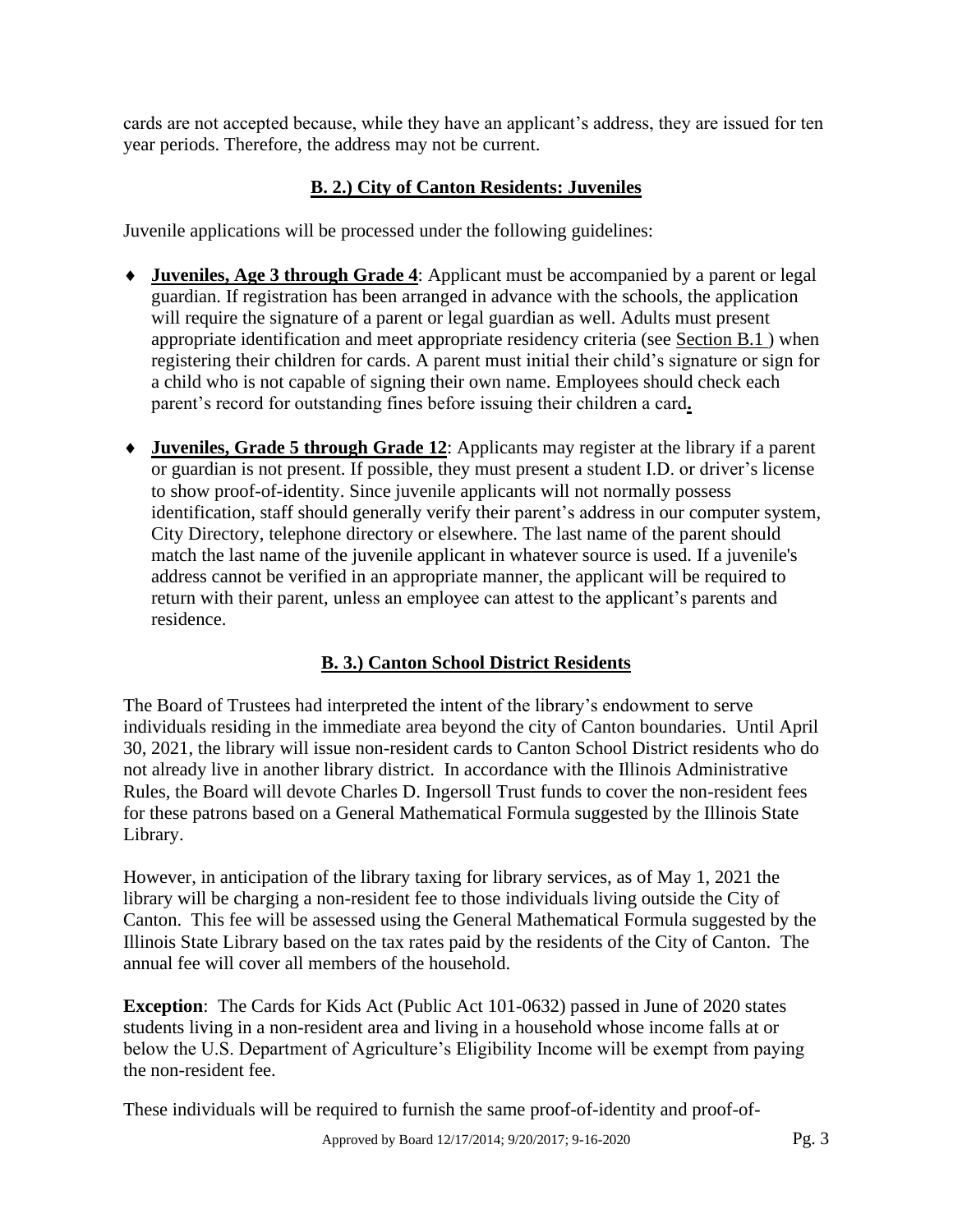cards are not accepted because, while they have an applicant's address, they are issued for ten year periods. Therefore, the address may not be current.

# **B. 2.) City of Canton Residents: Juveniles**

Juvenile applications will be processed under the following guidelines:

- **Juveniles, Age 3 through Grade 4**: Applicant must be accompanied by a parent or legal guardian. If registration has been arranged in advance with the schools, the application will require the signature of a parent or legal guardian as well. Adults must present appropriate identification and meet appropriate residency criteria (see Section B.1 ) when registering their children for cards. A parent must initial their child's signature or sign for a child who is not capable of signing their own name. Employees should check each parent's record for outstanding fines before issuing their children a card**.**
- **Juveniles, Grade 5 through Grade 12**: Applicants may register at the library if a parent or guardian is not present. If possible, they must present a student I.D. or driver's license to show proof-of-identity. Since juvenile applicants will not normally possess identification, staff should generally verify their parent's address in our computer system, City Directory, telephone directory or elsewhere. The last name of the parent should match the last name of the juvenile applicant in whatever source is used. If a juvenile's address cannot be verified in an appropriate manner, the applicant will be required to return with their parent, unless an employee can attest to the applicant's parents and residence.

# **B. 3.) Canton School District Residents**

The Board of Trustees had interpreted the intent of the library's endowment to serve individuals residing in the immediate area beyond the city of Canton boundaries. Until April 30, 2021, the library will issue non-resident cards to Canton School District residents who do not already live in another library district. In accordance with the Illinois Administrative Rules, the Board will devote Charles D. Ingersoll Trust funds to cover the non-resident fees for these patrons based on a General Mathematical Formula suggested by the Illinois State Library.

However, in anticipation of the library taxing for library services, as of May 1, 2021 the library will be charging a non-resident fee to those individuals living outside the City of Canton. This fee will be assessed using the General Mathematical Formula suggested by the Illinois State Library based on the tax rates paid by the residents of the City of Canton. The annual fee will cover all members of the household.

**Exception**: The Cards for Kids Act (Public Act 101-0632) passed in June of 2020 states students living in a non-resident area and living in a household whose income falls at or below the U.S. Department of Agriculture's Eligibility Income will be exempt from paying the non-resident fee.

These individuals will be required to furnish the same proof-of-identity and proof-of-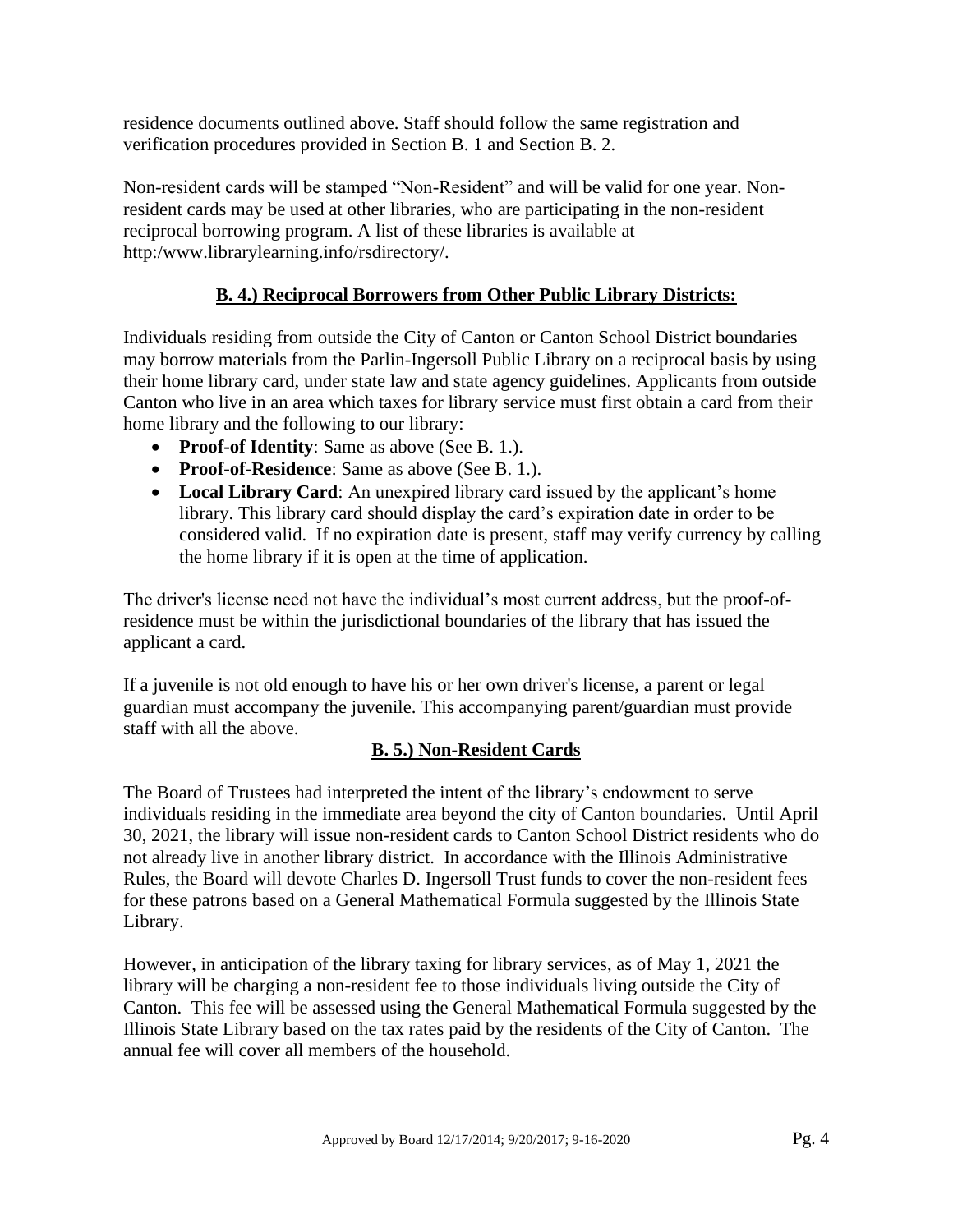residence documents outlined above. Staff should follow the same registration and verification procedures provided in Section B. 1 and Section B. 2.

Non-resident cards will be stamped "Non-Resident" and will be valid for one year. Nonresident cards may be used at other libraries, who are participating in the non-resident reciprocal borrowing program. A list of these libraries is available at http:/www.librarylearning.info/rsdirectory/.

## **B. 4.) Reciprocal Borrowers from Other Public Library Districts:**

Individuals residing from outside the City of Canton or Canton School District boundaries may borrow materials from the Parlin-Ingersoll Public Library on a reciprocal basis by using their home library card, under state law and state agency guidelines. Applicants from outside Canton who live in an area which taxes for library service must first obtain a card from their home library and the following to our library:

- **Proof-of Identity**: Same as above (See B. 1.).
- **Proof-of-Residence**: Same as above (See B. 1.).
- **Local Library Card**: An unexpired library card issued by the applicant's home library. This library card should display the card's expiration date in order to be considered valid. If no expiration date is present, staff may verify currency by calling the home library if it is open at the time of application.

The driver's license need not have the individual's most current address, but the proof-ofresidence must be within the jurisdictional boundaries of the library that has issued the applicant a card.

If a juvenile is not old enough to have his or her own driver's license, a parent or legal guardian must accompany the juvenile. This accompanying parent/guardian must provide staff with all the above.

## **B. 5.) Non-Resident Cards**

The Board of Trustees had interpreted the intent of the library's endowment to serve individuals residing in the immediate area beyond the city of Canton boundaries. Until April 30, 2021, the library will issue non-resident cards to Canton School District residents who do not already live in another library district. In accordance with the Illinois Administrative Rules, the Board will devote Charles D. Ingersoll Trust funds to cover the non-resident fees for these patrons based on a General Mathematical Formula suggested by the Illinois State Library.

However, in anticipation of the library taxing for library services, as of May 1, 2021 the library will be charging a non-resident fee to those individuals living outside the City of Canton. This fee will be assessed using the General Mathematical Formula suggested by the Illinois State Library based on the tax rates paid by the residents of the City of Canton. The annual fee will cover all members of the household.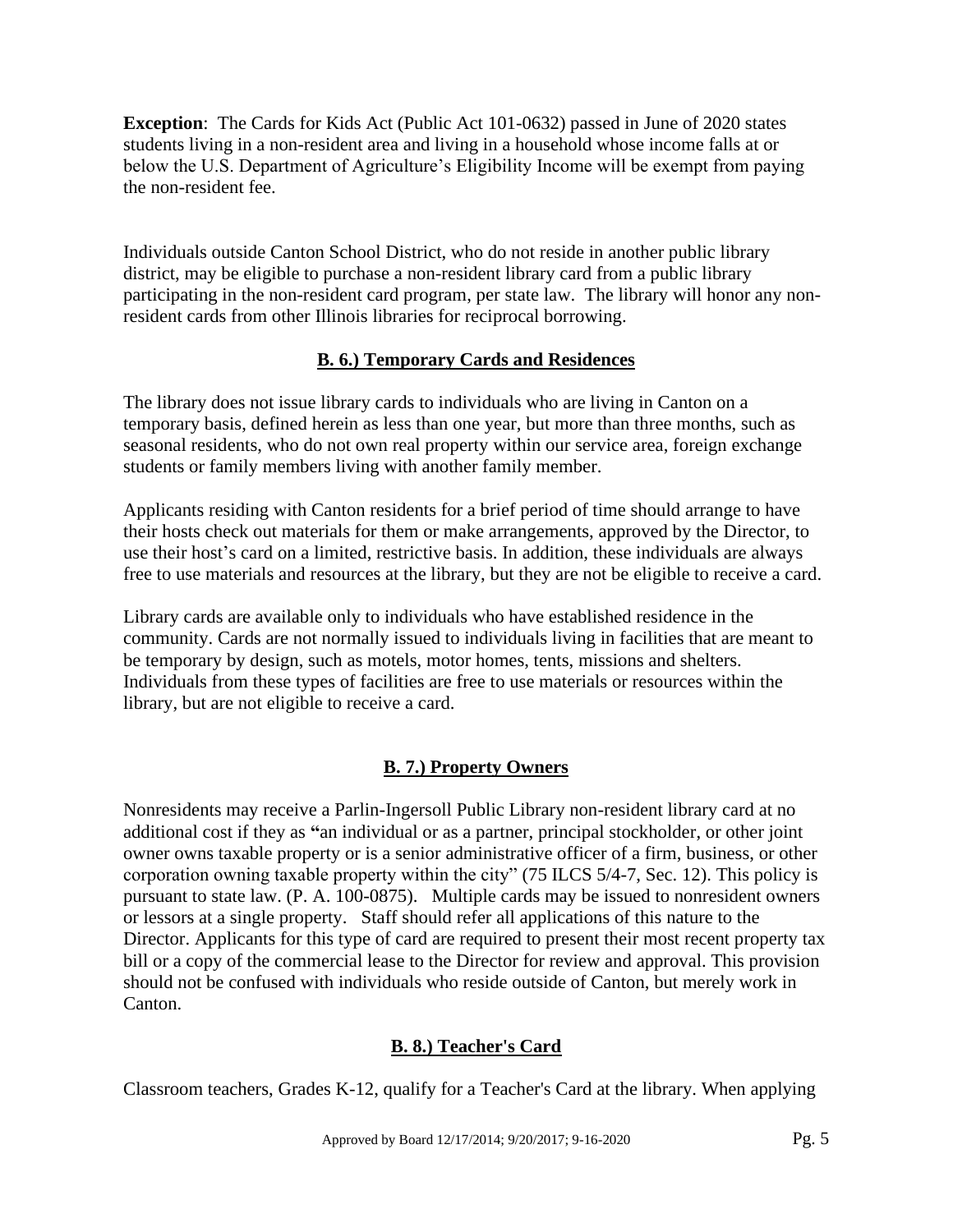**Exception**: The Cards for Kids Act (Public Act 101-0632) passed in June of 2020 states students living in a non-resident area and living in a household whose income falls at or below the U.S. Department of Agriculture's Eligibility Income will be exempt from paying the non-resident fee.

Individuals outside Canton School District, who do not reside in another public library district, may be eligible to purchase a non-resident library card from a public library participating in the non-resident card program, per state law. The library will honor any nonresident cards from other Illinois libraries for reciprocal borrowing.

## **B. 6.) Temporary Cards and Residences**

The library does not issue library cards to individuals who are living in Canton on a temporary basis, defined herein as less than one year, but more than three months, such as seasonal residents, who do not own real property within our service area, foreign exchange students or family members living with another family member.

Applicants residing with Canton residents for a brief period of time should arrange to have their hosts check out materials for them or make arrangements, approved by the Director, to use their host's card on a limited, restrictive basis. In addition, these individuals are always free to use materials and resources at the library, but they are not be eligible to receive a card.

Library cards are available only to individuals who have established residence in the community. Cards are not normally issued to individuals living in facilities that are meant to be temporary by design, such as motels, motor homes, tents, missions and shelters. Individuals from these types of facilities are free to use materials or resources within the library, but are not eligible to receive a card.

# **B. 7.) Property Owners**

Nonresidents may receive a Parlin-Ingersoll Public Library non-resident library card at no additional cost if they as **"**an individual or as a partner, principal stockholder, or other joint owner owns taxable property or is a senior administrative officer of a firm, business, or other corporation owning taxable property within the city" (75 ILCS 5/4-7, Sec. 12). This policy is pursuant to state law. (P. A. 100-0875). Multiple cards may be issued to nonresident owners or lessors at a single property. Staff should refer all applications of this nature to the Director. Applicants for this type of card are required to present their most recent property tax bill or a copy of the commercial lease to the Director for review and approval. This provision should not be confused with individuals who reside outside of Canton, but merely work in Canton.

## **B. 8.) Teacher's Card**

Classroom teachers, Grades K-12, qualify for a Teacher's Card at the library. When applying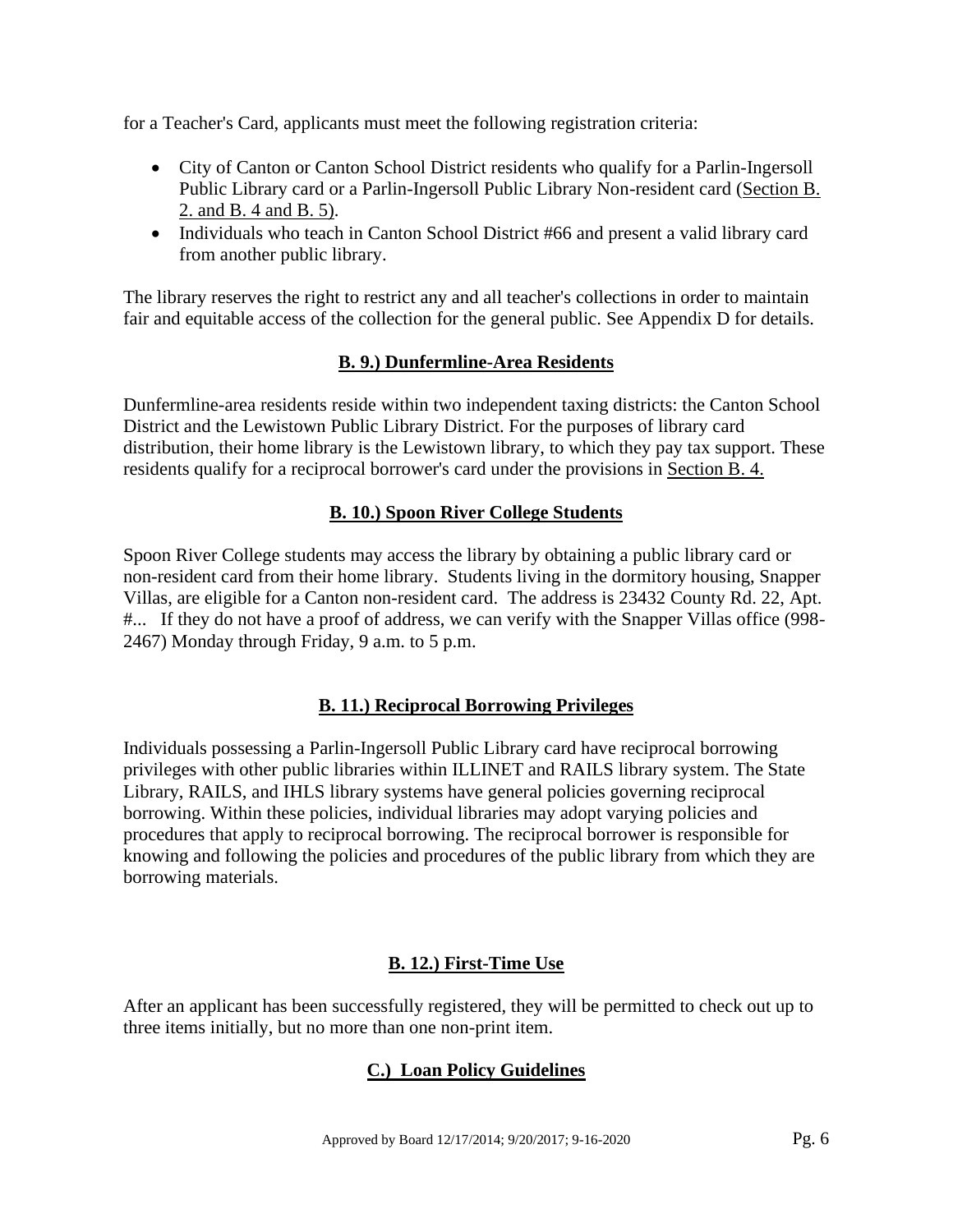for a Teacher's Card, applicants must meet the following registration criteria:

- City of Canton or Canton School District residents who qualify for a Parlin-Ingersoll Public Library card or a Parlin-Ingersoll Public Library Non-resident card (Section B. 2. and B. 4 and B. 5).
- Individuals who teach in Canton School District #66 and present a valid library card from another public library.

The library reserves the right to restrict any and all teacher's collections in order to maintain fair and equitable access of the collection for the general public. See Appendix D for details.

#### **B. 9.) Dunfermline-Area Residents**

Dunfermline-area residents reside within two independent taxing districts: the Canton School District and the Lewistown Public Library District. For the purposes of library card distribution, their home library is the Lewistown library, to which they pay tax support. These residents qualify for a reciprocal borrower's card under the provisions in Section B. 4.

#### **B. 10.) Spoon River College Students**

Spoon River College students may access the library by obtaining a public library card or non-resident card from their home library. Students living in the dormitory housing, Snapper Villas, are eligible for a Canton non-resident card. The address is 23432 County Rd. 22, Apt. #... If they do not have a proof of address, we can verify with the Snapper Villas office (998- 2467) Monday through Friday, 9 a.m. to 5 p.m.

## **B. 11.) Reciprocal Borrowing Privileges**

Individuals possessing a Parlin-Ingersoll Public Library card have reciprocal borrowing privileges with other public libraries within ILLINET and RAILS library system. The State Library, RAILS, and IHLS library systems have general policies governing reciprocal borrowing. Within these policies, individual libraries may adopt varying policies and procedures that apply to reciprocal borrowing. The reciprocal borrower is responsible for knowing and following the policies and procedures of the public library from which they are borrowing materials.

## **B. 12.) First-Time Use**

After an applicant has been successfully registered, they will be permitted to check out up to three items initially, but no more than one non-print item.

## **C.) Loan Policy Guidelines**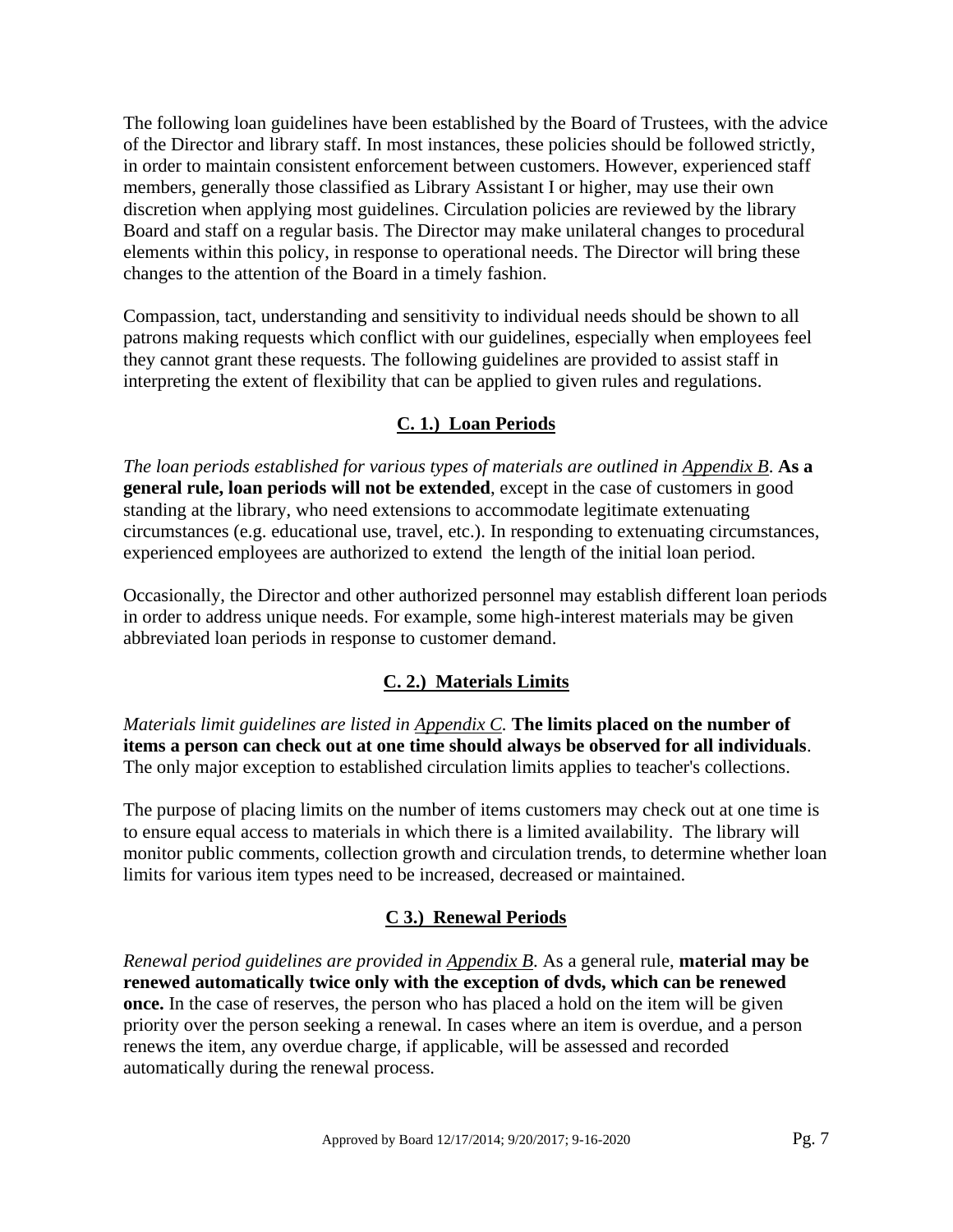The following loan guidelines have been established by the Board of Trustees, with the advice of the Director and library staff. In most instances, these policies should be followed strictly, in order to maintain consistent enforcement between customers. However, experienced staff members, generally those classified as Library Assistant I or higher, may use their own discretion when applying most guidelines. Circulation policies are reviewed by the library Board and staff on a regular basis. The Director may make unilateral changes to procedural elements within this policy, in response to operational needs. The Director will bring these changes to the attention of the Board in a timely fashion.

Compassion, tact, understanding and sensitivity to individual needs should be shown to all patrons making requests which conflict with our guidelines, especially when employees feel they cannot grant these requests. The following guidelines are provided to assist staff in interpreting the extent of flexibility that can be applied to given rules and regulations.

## **C. 1.) Loan Periods**

*The loan periods established for various types of materials are outlined in Appendix B*. **As a general rule, loan periods will not be extended**, except in the case of customers in good standing at the library, who need extensions to accommodate legitimate extenuating circumstances (e.g. educational use, travel, etc.). In responding to extenuating circumstances, experienced employees are authorized to extend the length of the initial loan period.

Occasionally, the Director and other authorized personnel may establish different loan periods in order to address unique needs. For example, some high-interest materials may be given abbreviated loan periods in response to customer demand.

# **C. 2.) Materials Limits**

*Materials limit guidelines are listed in Appendix C.* **The limits placed on the number of items a person can check out at one time should always be observed for all individuals**. The only major exception to established circulation limits applies to teacher's collections.

The purpose of placing limits on the number of items customers may check out at one time is to ensure equal access to materials in which there is a limited availability. The library will monitor public comments, collection growth and circulation trends, to determine whether loan limits for various item types need to be increased, decreased or maintained.

# **C 3.) Renewal Periods**

*Renewal period guidelines are provided in Appendix B*. As a general rule, **material may be renewed automatically twice only with the exception of dvds, which can be renewed once.** In the case of reserves, the person who has placed a hold on the item will be given priority over the person seeking a renewal. In cases where an item is overdue, and a person renews the item, any overdue charge, if applicable, will be assessed and recorded automatically during the renewal process.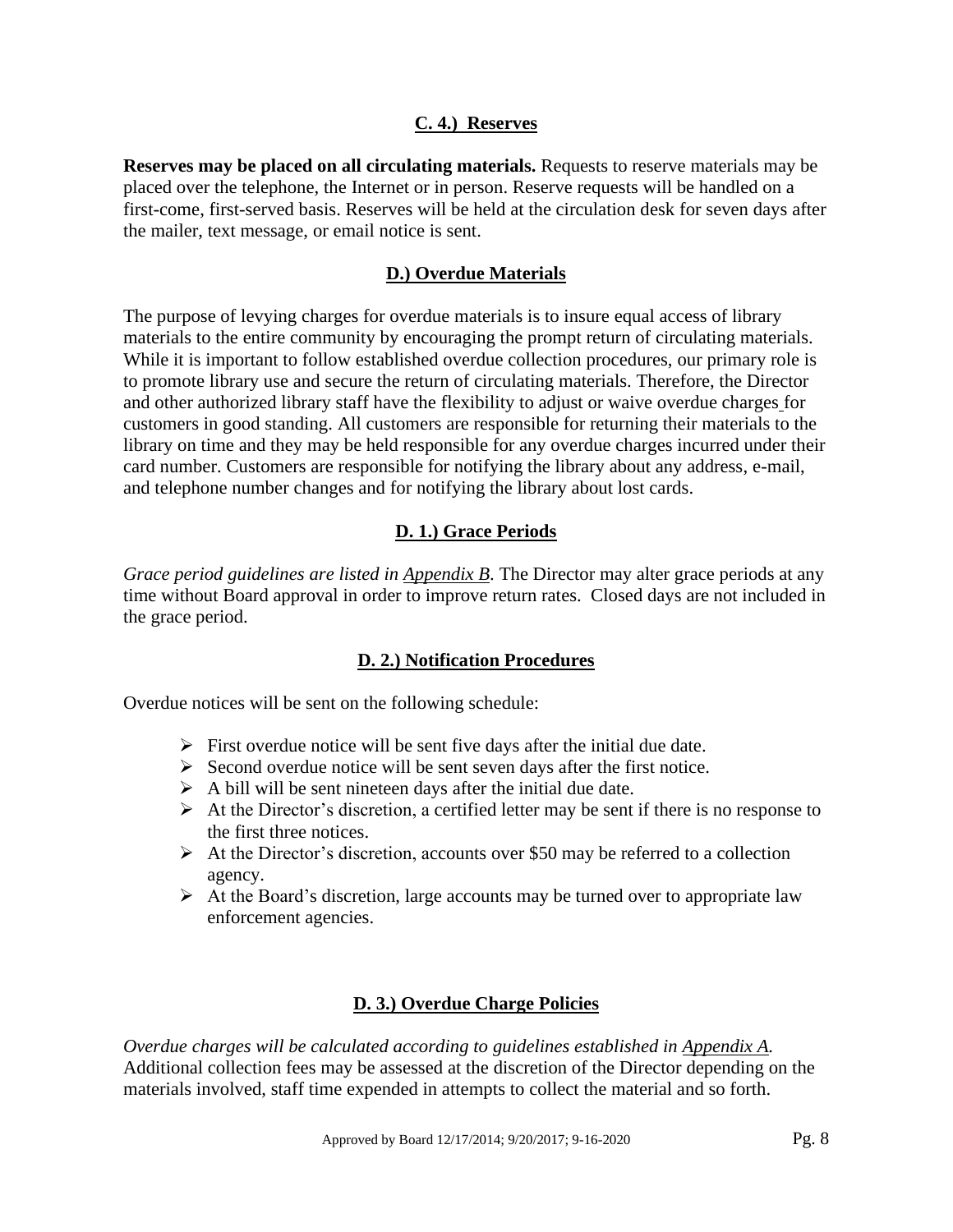#### **C. 4.) Reserves**

**Reserves may be placed on all circulating materials.** Requests to reserve materials may be placed over the telephone, the Internet or in person. Reserve requests will be handled on a first-come, first-served basis. Reserves will be held at the circulation desk for seven days after the mailer, text message, or email notice is sent.

#### **D.) Overdue Materials**

The purpose of levying charges for overdue materials is to insure equal access of library materials to the entire community by encouraging the prompt return of circulating materials. While it is important to follow established overdue collection procedures, our primary role is to promote library use and secure the return of circulating materials. Therefore, the Director and other authorized library staff have the flexibility to adjust or waive overdue charges for customers in good standing. All customers are responsible for returning their materials to the library on time and they may be held responsible for any overdue charges incurred under their card number. Customers are responsible for notifying the library about any address, e-mail, and telephone number changes and for notifying the library about lost cards.

#### **D. 1.) Grace Periods**

*Grace period guidelines are listed in Appendix B*. The Director may alter grace periods at any time without Board approval in order to improve return rates. Closed days are not included in the grace period.

#### **D. 2.) Notification Procedures**

Overdue notices will be sent on the following schedule:

- $\triangleright$  First overdue notice will be sent five days after the initial due date.
- $\triangleright$  Second overdue notice will be sent seven days after the first notice.
- $\triangleright$  A bill will be sent nineteen days after the initial due date.
- $\triangleright$  At the Director's discretion, a certified letter may be sent if there is no response to the first three notices.
- $\triangleright$  At the Director's discretion, accounts over \$50 may be referred to a collection agency.
- $\triangleright$  At the Board's discretion, large accounts may be turned over to appropriate law enforcement agencies.

## **D. 3.) Overdue Charge Policies**

*Overdue charges will be calculated according to guidelines established in Appendix A.* Additional collection fees may be assessed at the discretion of the Director depending on the materials involved, staff time expended in attempts to collect the material and so forth.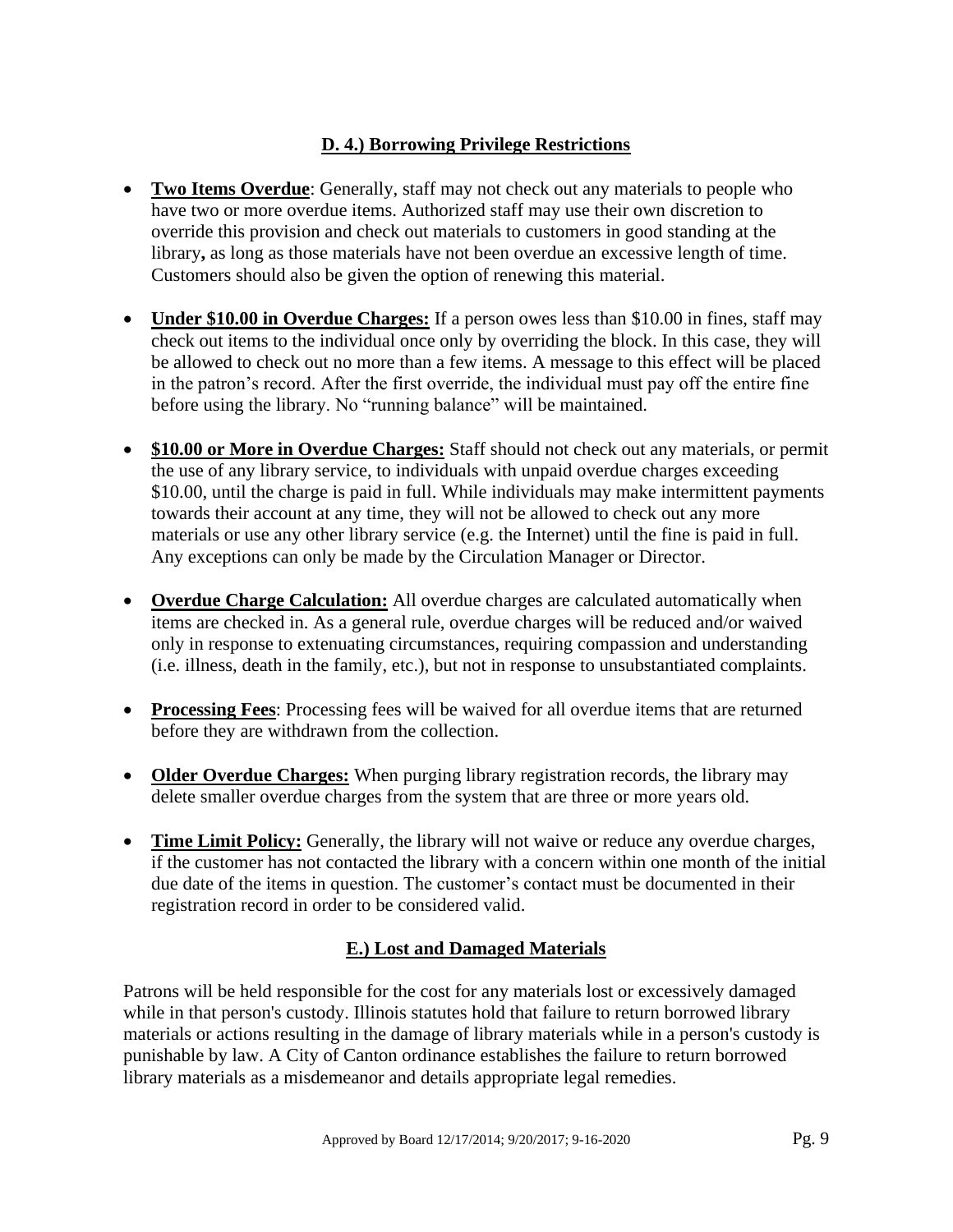# **D. 4.) Borrowing Privilege Restrictions**

- **Two Items Overdue**: Generally, staff may not check out any materials to people who have two or more overdue items. Authorized staff may use their own discretion to override this provision and check out materials to customers in good standing at the library**,** as long as those materials have not been overdue an excessive length of time. Customers should also be given the option of renewing this material.
- **Under \$10.00 in Overdue Charges:** If a person owes less than \$10.00 in fines, staff may check out items to the individual once only by overriding the block. In this case, they will be allowed to check out no more than a few items. A message to this effect will be placed in the patron's record. After the first override, the individual must pay off the entire fine before using the library. No "running balance" will be maintained.
- **\$10.00 or More in Overdue Charges:** Staff should not check out any materials, or permit the use of any library service, to individuals with unpaid overdue charges exceeding \$10.00, until the charge is paid in full. While individuals may make intermittent payments towards their account at any time, they will not be allowed to check out any more materials or use any other library service (e.g. the Internet) until the fine is paid in full. Any exceptions can only be made by the Circulation Manager or Director.
- **Overdue Charge Calculation:** All overdue charges are calculated automatically when items are checked in. As a general rule, overdue charges will be reduced and/or waived only in response to extenuating circumstances, requiring compassion and understanding (i.e. illness, death in the family, etc.), but not in response to unsubstantiated complaints.
- **Processing Fees**: Processing fees will be waived for all overdue items that are returned before they are withdrawn from the collection.
- **Older Overdue Charges:** When purging library registration records, the library may delete smaller overdue charges from the system that are three or more years old.
- **Time Limit Policy:** Generally, the library will not waive or reduce any overdue charges, if the customer has not contacted the library with a concern within one month of the initial due date of the items in question. The customer's contact must be documented in their registration record in order to be considered valid.

# **E.) Lost and Damaged Materials**

Patrons will be held responsible for the cost for any materials lost or excessively damaged while in that person's custody. Illinois statutes hold that failure to return borrowed library materials or actions resulting in the damage of library materials while in a person's custody is punishable by law. A City of Canton ordinance establishes the failure to return borrowed library materials as a misdemeanor and details appropriate legal remedies.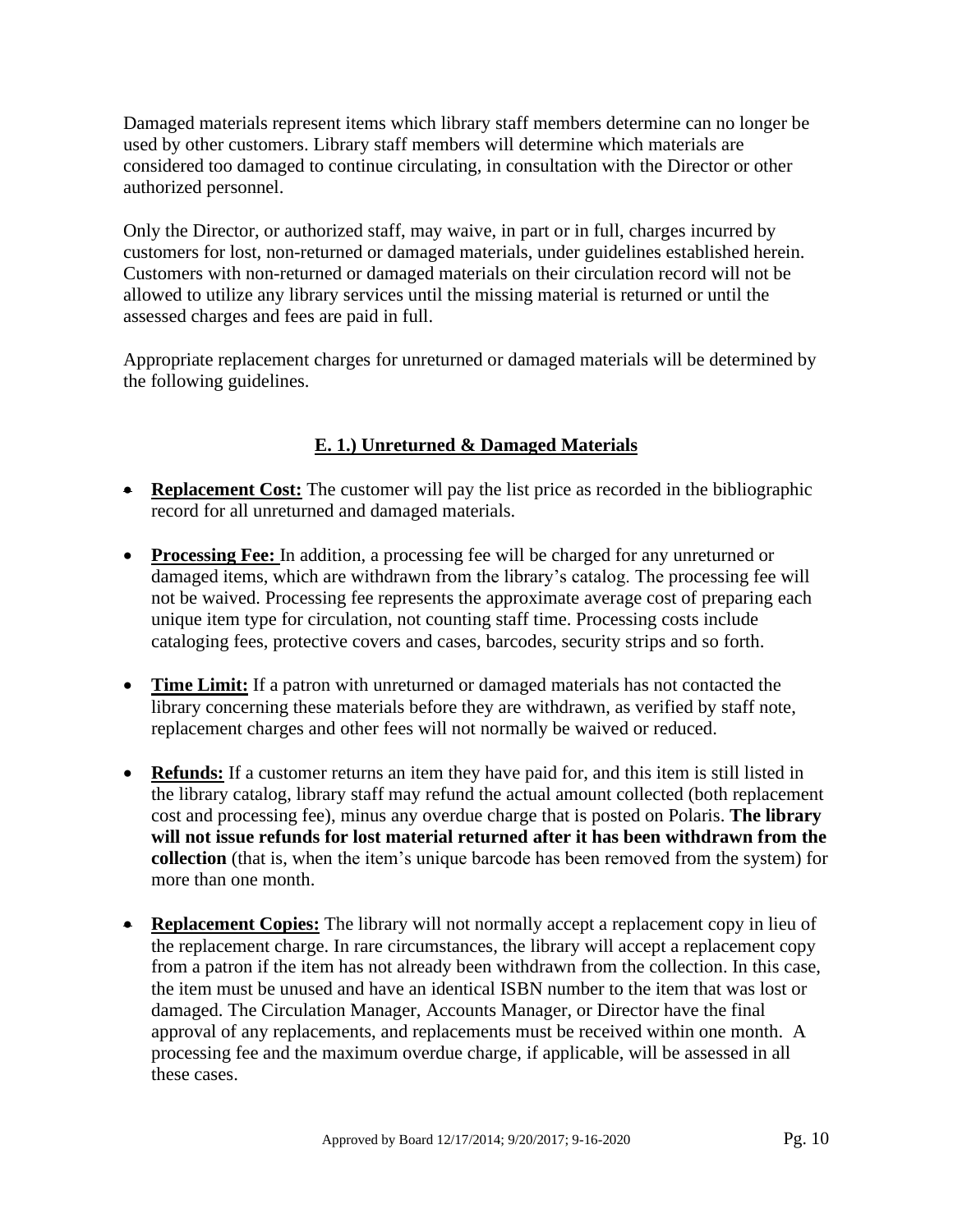Damaged materials represent items which library staff members determine can no longer be used by other customers. Library staff members will determine which materials are considered too damaged to continue circulating, in consultation with the Director or other authorized personnel.

Only the Director, or authorized staff, may waive, in part or in full, charges incurred by customers for lost, non-returned or damaged materials, under guidelines established herein. Customers with non-returned or damaged materials on their circulation record will not be allowed to utilize any library services until the missing material is returned or until the assessed charges and fees are paid in full.

Appropriate replacement charges for unreturned or damaged materials will be determined by the following guidelines.

# **E. 1.) Unreturned & Damaged Materials**

- **Replacement Cost:** The customer will pay the list price as recorded in the bibliographic record for all unreturned and damaged materials.
- **Processing Fee:** In addition, a processing fee will be charged for any unreturned or damaged items, which are withdrawn from the library's catalog. The processing fee will not be waived. Processing fee represents the approximate average cost of preparing each unique item type for circulation, not counting staff time. Processing costs include cataloging fees, protective covers and cases, barcodes, security strips and so forth.
- **Time Limit:** If a patron with unreturned or damaged materials has not contacted the library concerning these materials before they are withdrawn, as verified by staff note, replacement charges and other fees will not normally be waived or reduced.
- **Refunds:** If a customer returns an item they have paid for, and this item is still listed in the library catalog, library staff may refund the actual amount collected (both replacement cost and processing fee), minus any overdue charge that is posted on Polaris. **The library will not issue refunds for lost material returned after it has been withdrawn from the collection** (that is, when the item's unique barcode has been removed from the system) for more than one month.
- **Replacement Copies:** The library will not normally accept a replacement copy in lieu of the replacement charge. In rare circumstances, the library will accept a replacement copy from a patron if the item has not already been withdrawn from the collection. In this case, the item must be unused and have an identical ISBN number to the item that was lost or damaged. The Circulation Manager, Accounts Manager, or Director have the final approval of any replacements, and replacements must be received within one month. A processing fee and the maximum overdue charge, if applicable, will be assessed in all these cases.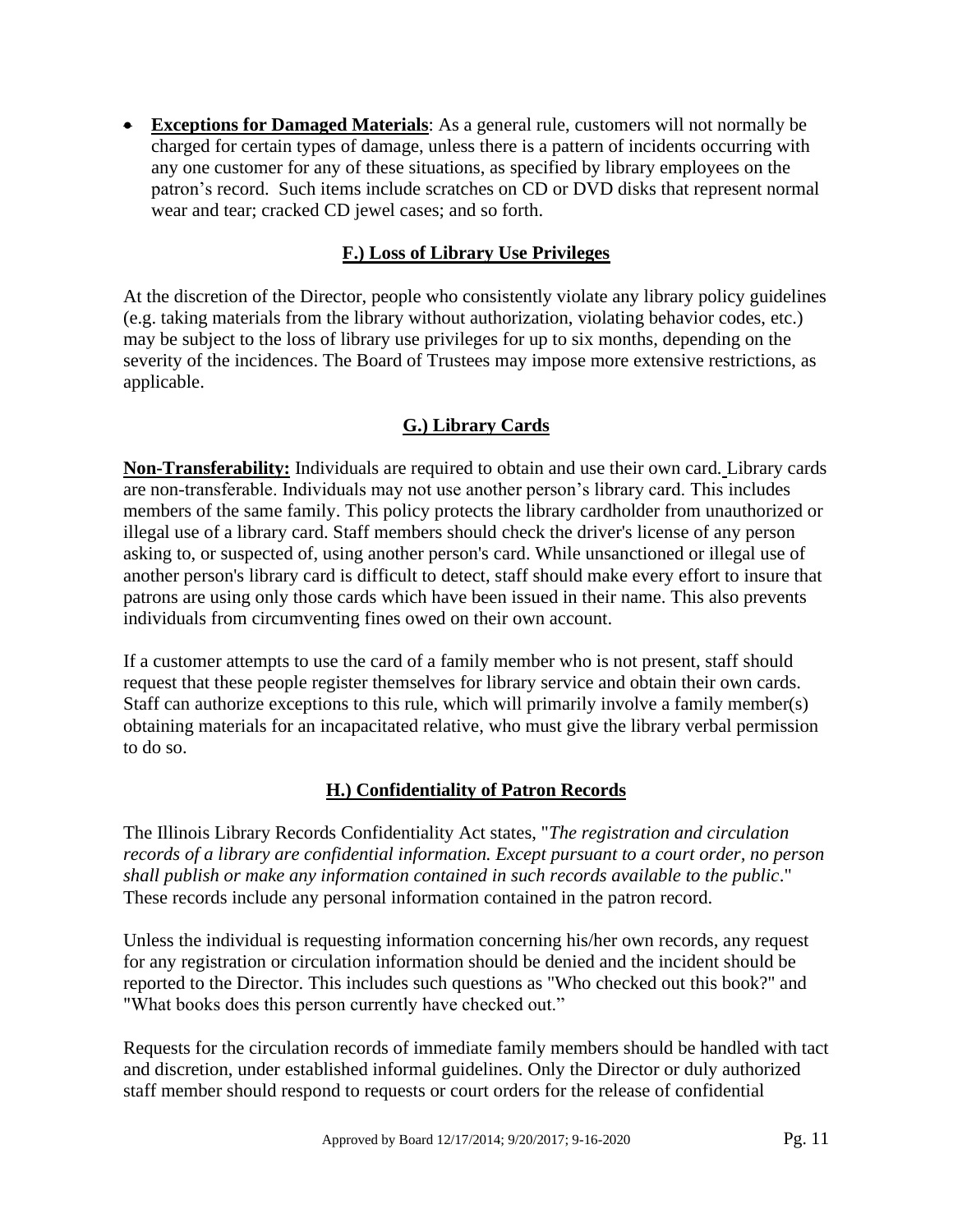• **Exceptions for Damaged Materials**: As a general rule, customers will not normally be charged for certain types of damage, unless there is a pattern of incidents occurring with any one customer for any of these situations, as specified by library employees on the patron's record. Such items include scratches on CD or DVD disks that represent normal wear and tear; cracked CD jewel cases; and so forth.

## **F.) Loss of Library Use Privileges**

At the discretion of the Director, people who consistently violate any library policy guidelines (e.g. taking materials from the library without authorization, violating behavior codes, etc.) may be subject to the loss of library use privileges for up to six months, depending on the severity of the incidences. The Board of Trustees may impose more extensive restrictions, as applicable.

# **G.) Library Cards**

**Non-Transferability:** Individuals are required to obtain and use their own card*.* Library cards are non-transferable. Individuals may not use another person's library card. This includes members of the same family. This policy protects the library cardholder from unauthorized or illegal use of a library card. Staff members should check the driver's license of any person asking to, or suspected of, using another person's card. While unsanctioned or illegal use of another person's library card is difficult to detect, staff should make every effort to insure that patrons are using only those cards which have been issued in their name. This also prevents individuals from circumventing fines owed on their own account.

If a customer attempts to use the card of a family member who is not present, staff should request that these people register themselves for library service and obtain their own cards. Staff can authorize exceptions to this rule, which will primarily involve a family member(s) obtaining materials for an incapacitated relative, who must give the library verbal permission to do so.

## **H.) Confidentiality of Patron Records**

The Illinois Library Records Confidentiality Act states, "*The registration and circulation records of a library are confidential information. Except pursuant to a court order, no person shall publish or make any information contained in such records available to the public*." These records include any personal information contained in the patron record.

Unless the individual is requesting information concerning his/her own records, any request for any registration or circulation information should be denied and the incident should be reported to the Director. This includes such questions as "Who checked out this book?" and "What books does this person currently have checked out."

Requests for the circulation records of immediate family members should be handled with tact and discretion, under established informal guidelines. Only the Director or duly authorized staff member should respond to requests or court orders for the release of confidential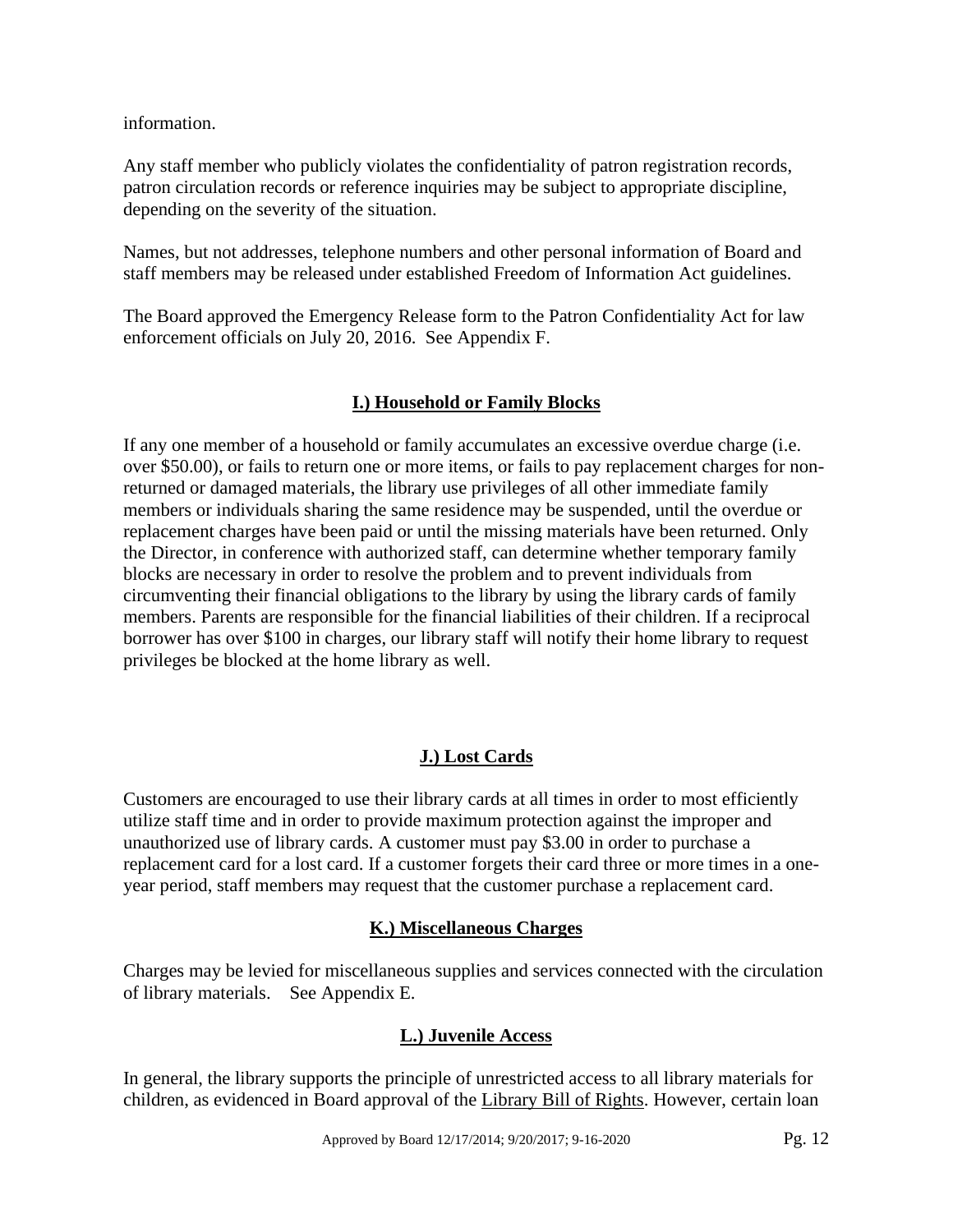information.

Any staff member who publicly violates the confidentiality of patron registration records, patron circulation records or reference inquiries may be subject to appropriate discipline, depending on the severity of the situation.

Names, but not addresses, telephone numbers and other personal information of Board and staff members may be released under established Freedom of Information Act guidelines.

The Board approved the Emergency Release form to the Patron Confidentiality Act for law enforcement officials on July 20, 2016. See Appendix F.

## **I.) Household or Family Blocks**

If any one member of a household or family accumulates an excessive overdue charge (i.e. over \$50.00), or fails to return one or more items, or fails to pay replacement charges for nonreturned or damaged materials, the library use privileges of all other immediate family members or individuals sharing the same residence may be suspended, until the overdue or replacement charges have been paid or until the missing materials have been returned. Only the Director, in conference with authorized staff, can determine whether temporary family blocks are necessary in order to resolve the problem and to prevent individuals from circumventing their financial obligations to the library by using the library cards of family members. Parents are responsible for the financial liabilities of their children. If a reciprocal borrower has over \$100 in charges, our library staff will notify their home library to request privileges be blocked at the home library as well.

# **J.) Lost Cards**

Customers are encouraged to use their library cards at all times in order to most efficiently utilize staff time and in order to provide maximum protection against the improper and unauthorized use of library cards. A customer must pay \$3.00 in order to purchase a replacement card for a lost card. If a customer forgets their card three or more times in a oneyear period, staff members may request that the customer purchase a replacement card.

## **K.) Miscellaneous Charges**

Charges may be levied for miscellaneous supplies and services connected with the circulation of library materials. See Appendix E.

## **L.) Juvenile Access**

In general, the library supports the principle of unrestricted access to all library materials for children, as evidenced in Board approval of the Library Bill of Rights. However, certain loan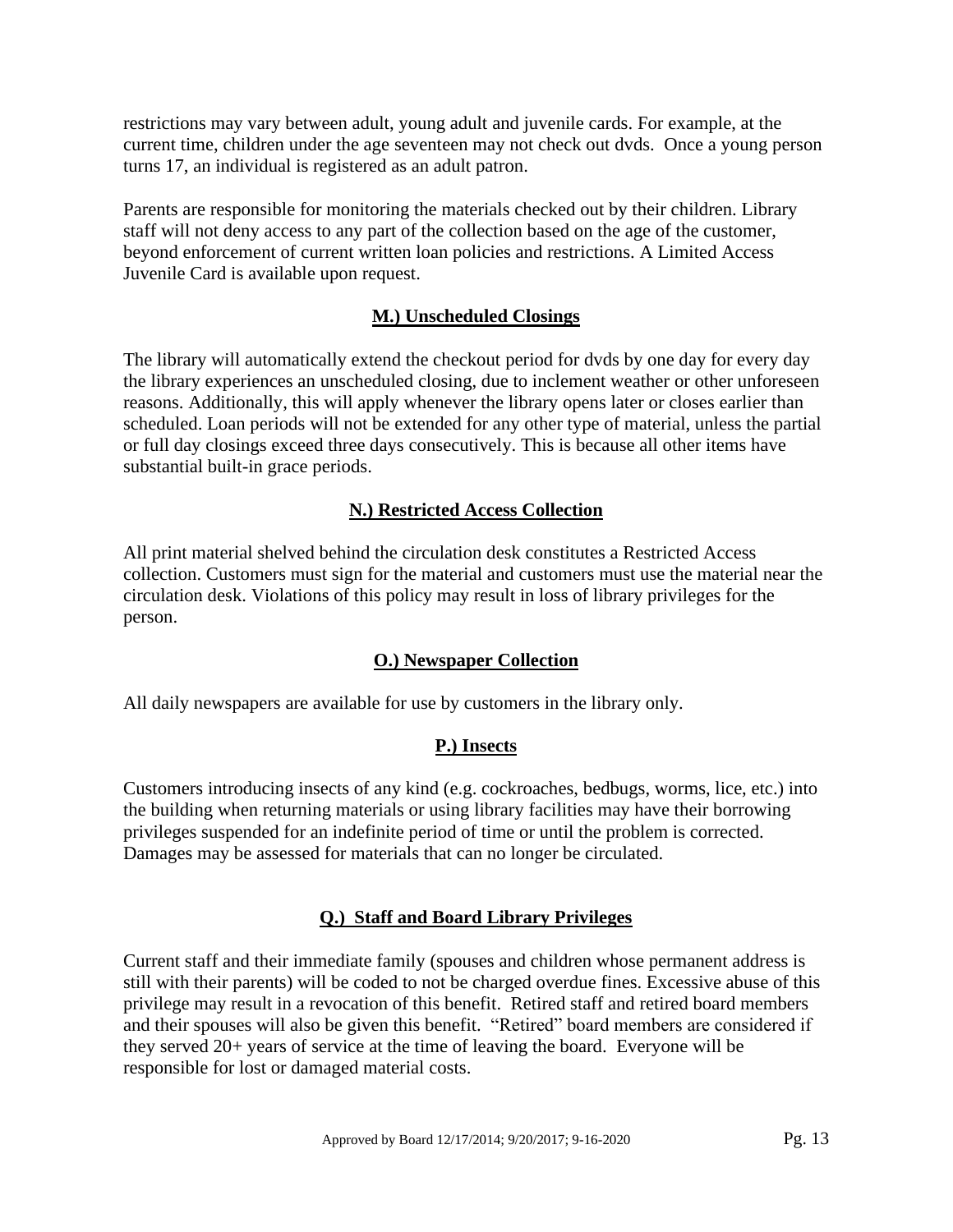restrictions may vary between adult, young adult and juvenile cards. For example, at the current time, children under the age seventeen may not check out dvds. Once a young person turns 17, an individual is registered as an adult patron.

Parents are responsible for monitoring the materials checked out by their children. Library staff will not deny access to any part of the collection based on the age of the customer, beyond enforcement of current written loan policies and restrictions. A Limited Access Juvenile Card is available upon request.

## **M.) Unscheduled Closings**

The library will automatically extend the checkout period for dvds by one day for every day the library experiences an unscheduled closing, due to inclement weather or other unforeseen reasons. Additionally, this will apply whenever the library opens later or closes earlier than scheduled. Loan periods will not be extended for any other type of material, unless the partial or full day closings exceed three days consecutively. This is because all other items have substantial built-in grace periods.

## **N.) Restricted Access Collection**

All print material shelved behind the circulation desk constitutes a Restricted Access collection. Customers must sign for the material and customers must use the material near the circulation desk. Violations of this policy may result in loss of library privileges for the person.

# **O.) Newspaper Collection**

All daily newspapers are available for use by customers in the library only.

## **P.) Insects**

Customers introducing insects of any kind (e.g. cockroaches, bedbugs, worms, lice, etc.) into the building when returning materials or using library facilities may have their borrowing privileges suspended for an indefinite period of time or until the problem is corrected. Damages may be assessed for materials that can no longer be circulated.

## **Q.) Staff and Board Library Privileges**

Current staff and their immediate family (spouses and children whose permanent address is still with their parents) will be coded to not be charged overdue fines. Excessive abuse of this privilege may result in a revocation of this benefit. Retired staff and retired board members and their spouses will also be given this benefit. "Retired" board members are considered if they served 20+ years of service at the time of leaving the board. Everyone will be responsible for lost or damaged material costs.